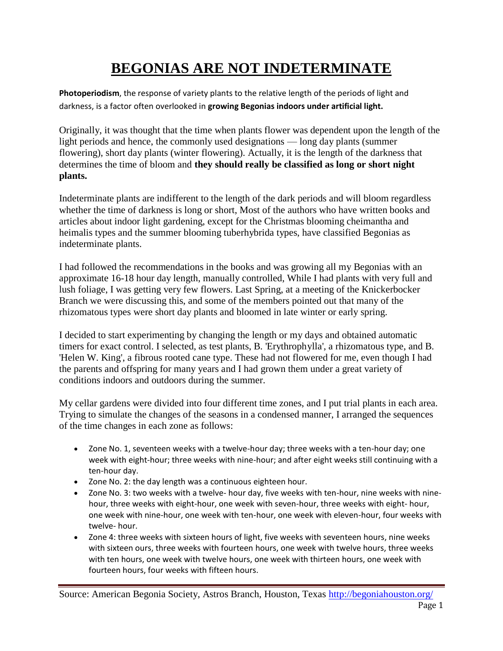## **BEGONIAS ARE NOT INDETERMINATE**

**Photoperiodism**, the response of variety plants to the relative length of the periods of light and darkness, is a factor often overlooked in **growing Begonias indoors under artificial light.**

Originally, it was thought that the time when plants flower was dependent upon the length of the light periods and hence, the commonly used designations — long day plants (summer flowering), short day plants (winter flowering). Actually, it is the length of the darkness that determines the time of bloom and **they should really be classified as long or short night plants.**

Indeterminate plants are indifferent to the length of the dark periods and will bloom regardless whether the time of darkness is long or short, Most of the authors who have written books and articles about indoor light gardening, except for the Christmas blooming cheimantha and heimalis types and the summer blooming tuberhybrida types, have classified Begonias as indeterminate plants.

I had followed the recommendations in the books and was growing all my Begonias with an approximate 16-18 hour day length, manually controlled, While I had plants with very full and lush foliage, I was getting very few flowers. Last Spring, at a meeting of the Knickerbocker Branch we were discussing this, and some of the members pointed out that many of the rhizomatous types were short day plants and bloomed in late winter or early spring.

I decided to start experimenting by changing the length or my days and obtained automatic timers for exact control. I selected, as test plants, B. 'Erythrophylla', a rhizomatous type, and B. 'Helen W. King', a fibrous rooted cane type. These had not flowered for me, even though I had the parents and offspring for many years and I had grown them under a great variety of conditions indoors and outdoors during the summer.

My cellar gardens were divided into four different time zones, and I put trial plants in each area. Trying to simulate the changes of the seasons in a condensed manner, I arranged the sequences of the time changes in each zone as follows:

- Zone No. 1, seventeen weeks with a twelve-hour day; three weeks with a ten-hour day; one week with eight-hour; three weeks with nine-hour; and after eight weeks still continuing with a ten-hour day.
- Zone No. 2: the day length was a continuous eighteen hour.
- Zone No. 3: two weeks with a twelve- hour day, five weeks with ten-hour, nine weeks with ninehour, three weeks with eight-hour, one week with seven-hour, three weeks with eight- hour, one week with nine-hour, one week with ten-hour, one week with eleven-hour, four weeks with twelve- hour.
- Zone 4: three weeks with sixteen hours of light, five weeks with seventeen hours, nine weeks with sixteen ours, three weeks with fourteen hours, one week with twelve hours, three weeks with ten hours, one week with twelve hours, one week with thirteen hours, one week with fourteen hours, four weeks with fifteen hours.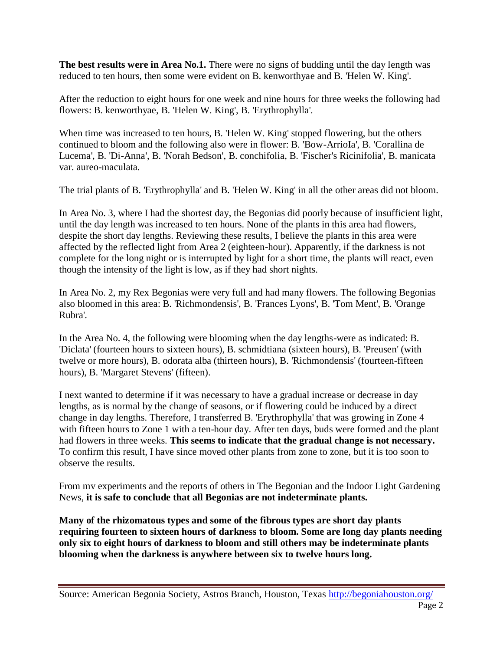**The best results were in Area No.1.** There were no signs of budding until the day length was reduced to ten hours, then some were evident on B. kenworthyae and B. 'Helen W. King'.

After the reduction to eight hours for one week and nine hours for three weeks the following had flowers: B. kenworthyae, B. 'Helen W. King', B. 'Erythrophylla'.

When time was increased to ten hours, B. 'Helen W. King' stopped flowering, but the others continued to bloom and the following also were in flower: B. 'Bow-ArrioIa', B. 'Corallina de Lucema', B. 'Di-Anna', B. 'Norah Bedson', B. conchifolia, B. 'Fischer's Ricinifolia', B. manicata var. aureo-maculata.

The trial plants of B. 'Erythrophylla' and B. 'Helen W. King' in all the other areas did not bloom.

In Area No. 3, where I had the shortest day, the Begonias did poorly because of insufficient light, until the day length was increased to ten hours. None of the plants in this area had flowers, despite the short day lengths. Reviewing these results, I believe the plants in this area were affected by the reflected light from Area 2 (eighteen-hour). Apparently, if the darkness is not complete for the long night or is interrupted by light for a short time, the plants will react, even though the intensity of the light is low, as if they had short nights.

In Area No. 2, my Rex Begonias were very full and had many flowers. The following Begonias also bloomed in this area: B. 'Richmondensis', B. 'Frances Lyons', B. 'Tom Ment', B. 'Orange Rubra'.

In the Area No. 4, the following were blooming when the day lengths-were as indicated: B. 'Diclata' (fourteen hours to sixteen hours), B. schmidtiana (sixteen hours), B. 'Preusen' (with twelve or more hours), B. odorata alba (thirteen hours), B. 'Richmondensis' (fourteen-fifteen hours), B. 'Margaret Stevens' (fifteen).

I next wanted to determine if it was necessary to have a gradual increase or decrease in day lengths, as is normal by the change of seasons, or if flowering could be induced by a direct change in day lengths. Therefore, I transferred B. 'Erythrophylla' that was growing in Zone 4 with fifteen hours to Zone 1 with a ten-hour day. After ten days, buds were formed and the plant had flowers in three weeks. **This seems to indicate that the gradual change is not necessary.** To confirm this result, I have since moved other plants from zone to zone, but it is too soon to observe the results.

From mv experiments and the reports of others in The Begonian and the Indoor Light Gardening News, **it is safe to conclude that all Begonias are not indeterminate plants.**

**Many of the rhizomatous types and some of the fibrous types are short day plants requiring fourteen to sixteen hours of darkness to bloom. Some are long day plants needing only six to eight hours of darkness to bloom and still others may be indeterminate plants blooming when the darkness is anywhere between six to twelve hours long.**